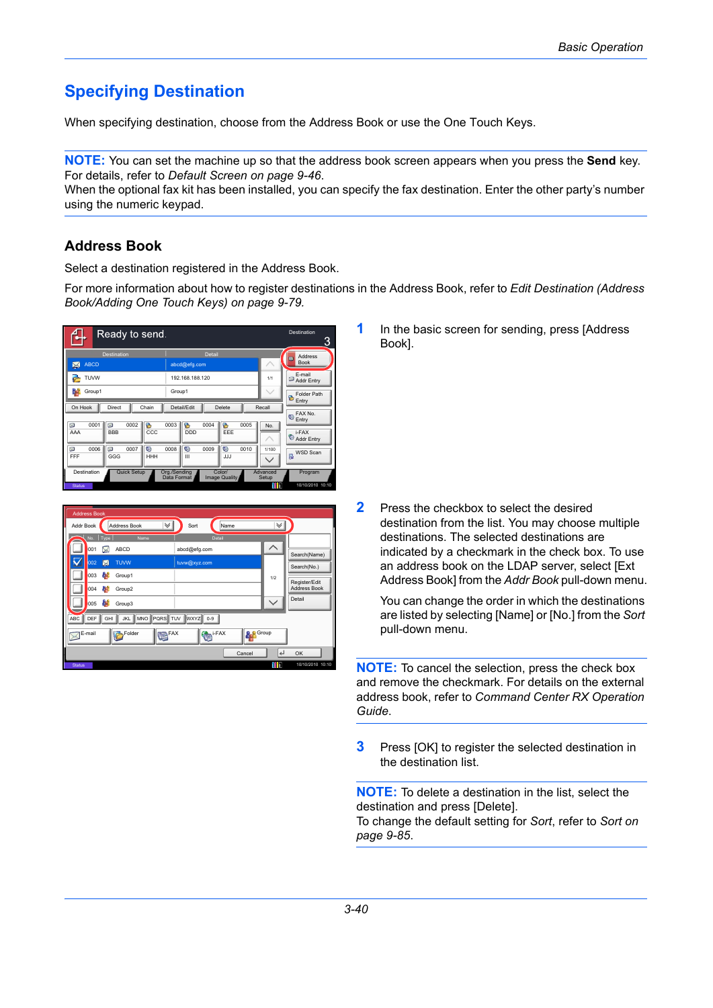# **Specifying Destination**

When specifying destination, choose from the Address Book or use the One Touch Keys.

**NOTE:** You can set the machine up so that the address book screen appears when you press the **Send** key. For details, refer to *[Default Screen on page 9-46](#page--1-0)*.

When the optional fax kit has been installed, you can specify the fax destination. Enter the other party's number using the numeric keypad.

### **Address Book**

Select a destination registered in the Address Book.

For more information about how to register destinations in the Address Book, refer to *[Edit Destination \(Address](#page--1-1)  [Book/Adding One Touch Keys\) on page 9-79.](#page--1-1)*





**1** In the basic screen for sending, press [Address Book].

**2** Press the checkbox to select the desired destination from the list. You may choose multiple destinations. The selected destinations are indicated by a checkmark in the check box. To use an address book on the LDAP server, select [Ext Address Book] from the *Addr Book* pull-down menu.

You can change the order in which the destinations are listed by selecting [Name] or [No.] from the *Sort* pull-down menu.

**NOTE:** To cancel the selection, press the check box and remove the checkmark. For details on the external address book, refer to *Command Center RX Operation Guide*.

**3** Press [OK] to register the selected destination in the destination list.

**NOTE:** To delete a destination in the list, select the destination and press [Delete]. To change the default setting for *Sort*, refer to *[Sort on](#page--1-0)  [page 9-85](#page--1-0)*.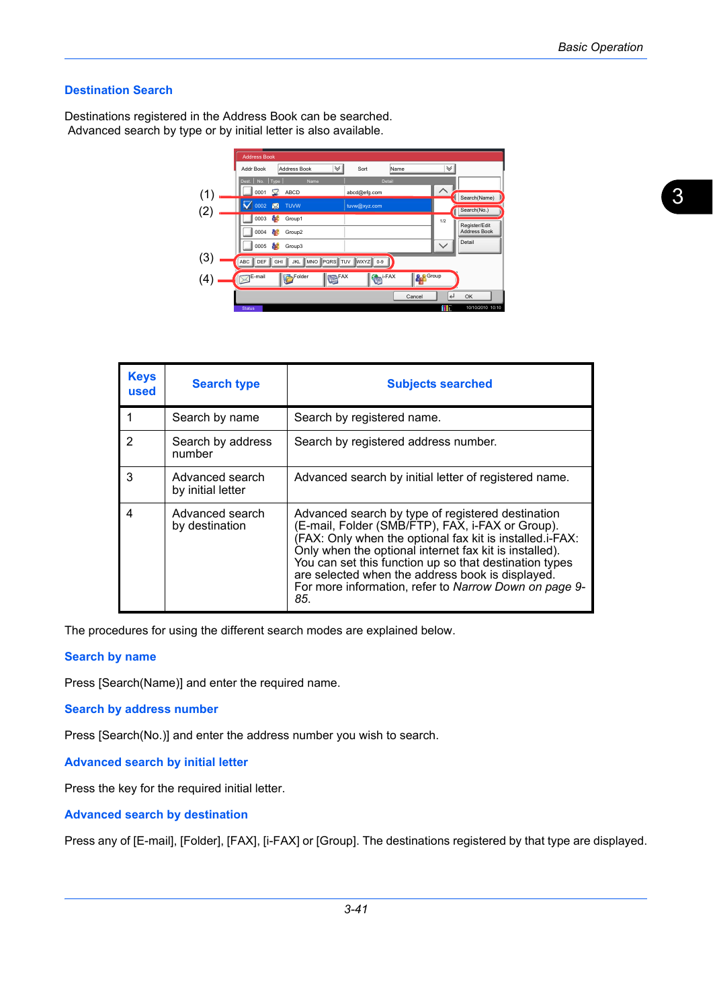#### **Destination Search**

Destinations registered in the Address Book can be searched. Advanced search by type or by initial letter is also available.

|     | <b>Address Book</b>                       |                         |                                      |
|-----|-------------------------------------------|-------------------------|--------------------------------------|
|     | $\checkmark$<br>Address Book<br>Addr Book | Sort<br>Name            | V                                    |
|     | Dest.   No.   Type<br>Name                | Detail                  |                                      |
| (1) | ABCD<br>0001<br>X                         | abcd@efg.com            | Search(Name)                         |
|     | 0002<br><b>TUVW</b>                       | tuvw@xyz.com            |                                      |
|     | a.<br>0003<br>Group1                      |                         | Search(No.)                          |
|     | af.                                       |                         | 1/2<br>Register/Edit<br>Address Book |
|     | 0004<br>Group2                            |                         | Detail                               |
|     | M<br>0005<br>Group3                       |                         | $\checkmark$                         |
| (3) | JKL MNO PORS TUV<br>ABC<br>DEF<br>GHI     | <b>WXYZ</b><br>$0 - 9$  |                                      |
| 4   | Folder<br>FAX<br>E-mail                   | i-FAX<br><b>O</b> Group |                                      |
|     |                                           | Cancel                  | با<br>OK                             |
|     | <b>Status</b>                             |                         | 10/10/2010 10:10<br>Ш                |

| <b>Keys</b><br>used | <b>Search type</b>                   | <b>Subjects searched</b>                                                                                                                                                                                                                                                                                                                                                                                  |
|---------------------|--------------------------------------|-----------------------------------------------------------------------------------------------------------------------------------------------------------------------------------------------------------------------------------------------------------------------------------------------------------------------------------------------------------------------------------------------------------|
|                     | Search by name                       | Search by registered name.                                                                                                                                                                                                                                                                                                                                                                                |
| 2                   | Search by address<br>number          | Search by registered address number.                                                                                                                                                                                                                                                                                                                                                                      |
| 3                   | Advanced search<br>by initial letter | Advanced search by initial letter of registered name.                                                                                                                                                                                                                                                                                                                                                     |
| 4                   | Advanced search<br>by destination    | Advanced search by type of registered destination<br>(E-mail, Folder (SMB/FTP), FAX, i-FAX or Group).<br>(FAX: Only when the optional fax kit is installed.i-FAX:<br>Only when the optional internet fax kit is installed).<br>You can set this function up so that destination types<br>are selected when the address book is displayed.<br>For more information, refer to Narrow Down on page 9-<br>85. |

The procedures for using the different search modes are explained below.

#### **Search by name**

Press [Search(Name)] and enter the required name.

#### **Search by address number**

Press [Search(No.)] and enter the address number you wish to search.

**Advanced search by initial letter**

Press the key for the required initial letter.

**Advanced search by destination**

Press any of [E-mail], [Folder], [FAX], [i-FAX] or [Group]. The destinations registered by that type are displayed.